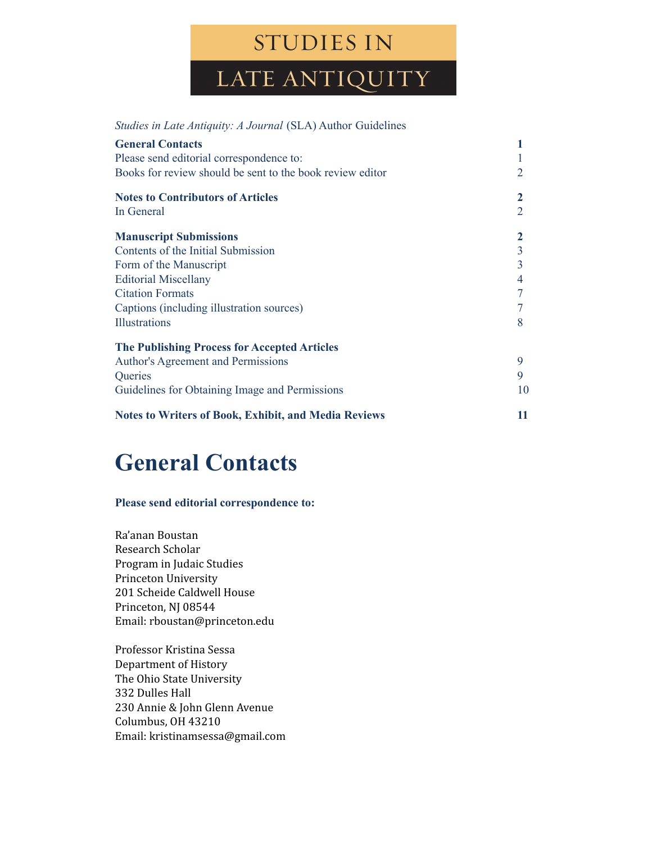## **STUDIES IN**

LATE ANTIQUITY

| <i>Studies in Late Antiquity: A Journal (SLA) Author Guidelines</i>                                                              |                          |
|----------------------------------------------------------------------------------------------------------------------------------|--------------------------|
| <b>General Contacts</b><br>Please send editorial correspondence to:<br>Books for review should be sent to the book review editor | $\overline{2}$           |
| <b>Notes to Contributors of Articles</b><br>In General                                                                           | 2<br>$\overline{2}$      |
| <b>Manuscript Submissions</b>                                                                                                    | $\mathbf{2}$             |
| Contents of the Initial Submission                                                                                               | $\frac{3}{3}$            |
| Form of the Manuscript                                                                                                           |                          |
| <b>Editorial Miscellany</b>                                                                                                      | $\overline{\mathcal{L}}$ |
| <b>Citation Formats</b>                                                                                                          | $\overline{7}$           |
| Captions (including illustration sources)                                                                                        | $\overline{7}$           |
| <b>Illustrations</b>                                                                                                             | 8                        |
| <b>The Publishing Process for Accepted Articles</b>                                                                              |                          |
| <b>Author's Agreement and Permissions</b>                                                                                        | 9                        |
| Queries                                                                                                                          | 9                        |
| Guidelines for Obtaining Image and Permissions                                                                                   | 10                       |
| <b>Notes to Writers of Book, Exhibit, and Media Reviews</b>                                                                      | 11                       |

## **General Contacts**

#### **Please send editorial correspondence to:**

Ra'anan Boustan Research Scholar Program in Judaic Studies Princeton University 201 Scheide Caldwell House Princeton, NJ 08544 Email: [rboustan@princeton.edu](mailto:rboustan@princeton.edu)

Professor Kristina Sessa Department of History The Ohio State University 332 Dulles Hall 230 Annie & John Glenn Avenue Columbus, OH 43210 Email: [kristinamsessa@gmail.com](mailto:kristinamsessa@gmail.com)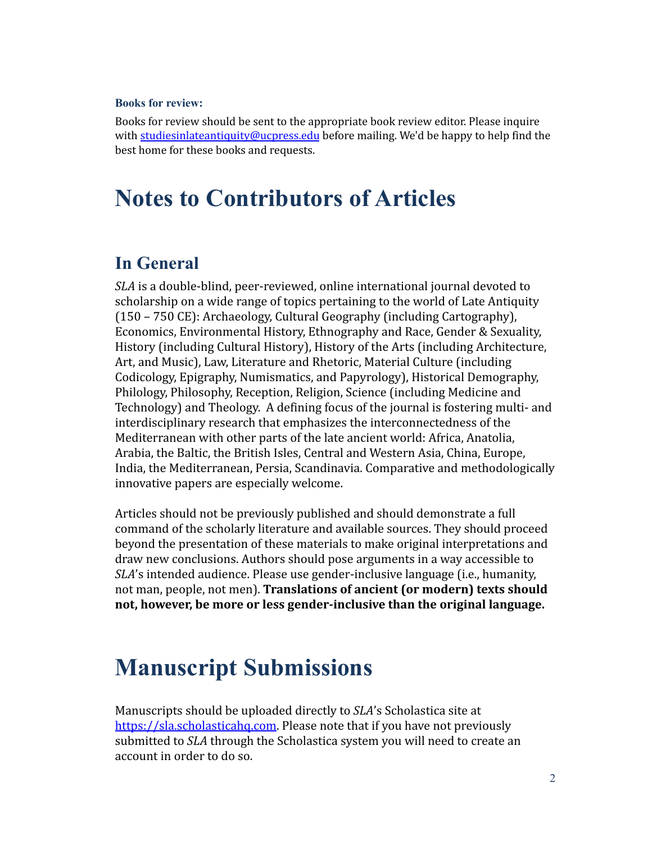#### **Books for review:**

Books for review should be sent to the appropriate book review editor. Please inquire with [studiesinlateantiquity@ucpress.edu](mailto:studiesinlateantiquity@ucpress.edu) before mailing. We'd be happy to help find the best home for these books and requests.

## **Notes to Contributors of Articles**

### **In General**

*SLA* is a double-blind, peer-reviewed, online international journal devoted to scholarship on a wide range of topics pertaining to the world of Late Antiquity (150 – 750 CE): Archaeology, Cultural Geography (including Cartography), Economics, Environmental History, Ethnography and Race, Gender & Sexuality, History (including Cultural History), History of the Arts (including Architecture, Art, and Music), Law, Literature and Rhetoric, Material Culture (including Codicology, Epigraphy, Numismatics, and Papyrology), Historical Demography, Philology, Philosophy, Reception, Religion, Science (including Medicine and Technology) and Theology. A defining focus of the journal is fostering multi- and interdisciplinary research that emphasizes the interconnectedness of the Mediterranean with other parts of the late ancient world: Africa, Anatolia, Arabia, the Baltic, the British Isles, Central and Western Asia, China, Europe, India, the Mediterranean, Persia, Scandinavia. Comparative and methodologically innovative papers are especially welcome.

Articles should not be previously published and should demonstrate a full command of the scholarly literature and available sources. They should proceed beyond the presentation of these materials to make original interpretations and draw new conclusions. Authors should pose arguments in a way accessible to *SLA*'s intended audience. Please use gender-inclusive language (i.e., humanity, not man, people, not men). **Translations of ancient (or modern) texts should not, however, be more or less gender-inclusive than the original language.**

## **Manuscript Submissions**

Manuscripts should be uploaded directly to *SLA*'s Scholastica site at [https://sla.scholasticahq.com.](https://sla.scholasticahq.com) Please note that if you have not previously submitted to *SLA* through the Scholastica system you will need to create an account in order to do so.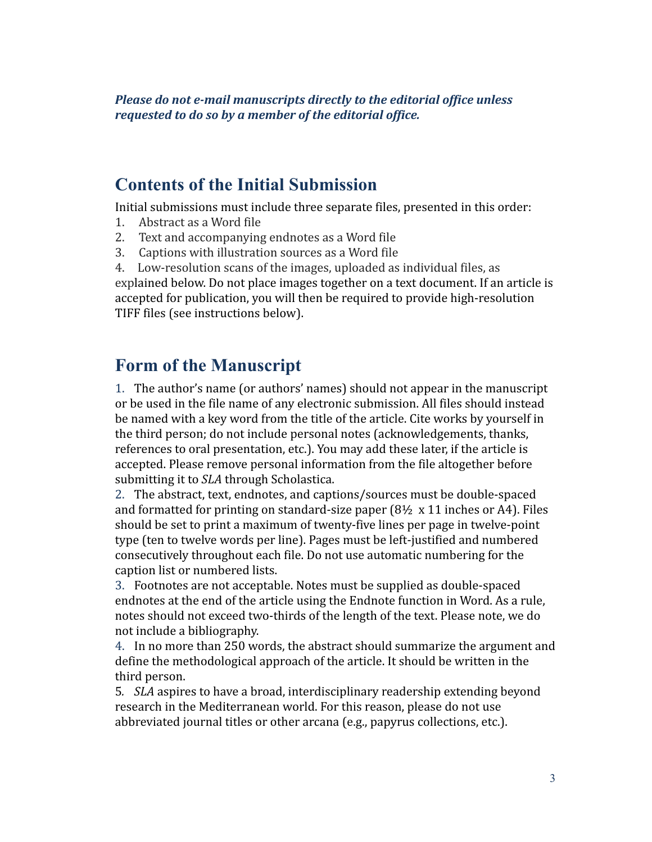*Please do not e-mail manuscripts directly to the editorial office unless requested to do so by a member of the editorial office.*

#### **Contents of the Initial Submission**

Initial submissions must include three separate files, presented in this order:

- 1. Abstract as a Word file
- 2. Text and accompanying endnotes as a Word file
- 3. Captions with illustration sources as a Word file

4. Low-resolution scans of the images, uploaded as individual files, as explained below. Do not place images together on a text document. If an article is accepted for publication, you will then be required to provide high-resolution TIFF files (see instructions below).

#### **Form of the Manuscript**

1. The author's name (or authors' names) should not appear in the manuscript or be used in the file name of any electronic submission. All files should instead be named with a key word from the title of the article. Cite works by yourself in the third person; do not include personal notes (acknowledgements, thanks, references to oral presentation, etc.). You may add these later, if the article is accepted. Please remove personal information from the file altogether before submitting it to *SLA* through Scholastica.

2. The abstract, text, endnotes, and captions/sources must be double-spaced and formatted for printing on standard-size paper  $(8\frac{1}{2} \times 11)$  inches or A4). Files should be set to print a maximum of twenty-five lines per page in twelve-point type (ten to twelve words per line). Pages must be left-justified and numbered consecutively throughout each file. Do not use automatic numbering for the caption list or numbered lists.

3. Footnotes are not acceptable. Notes must be supplied as double-spaced endnotes at the end of the article using the Endnote function in Word. As a rule, notes should not exceed two-thirds of the length of the text. Please note, we do not include a bibliography.

4. In no more than 250 words, the abstract should summarize the argument and define the methodological approach of the article. It should be written in the third person.

5*. SLA* aspires to have a broad, interdisciplinary readership extending beyond research in the Mediterranean world. For this reason, please do not use abbreviated journal titles or other arcana (e.g., papyrus collections, etc.).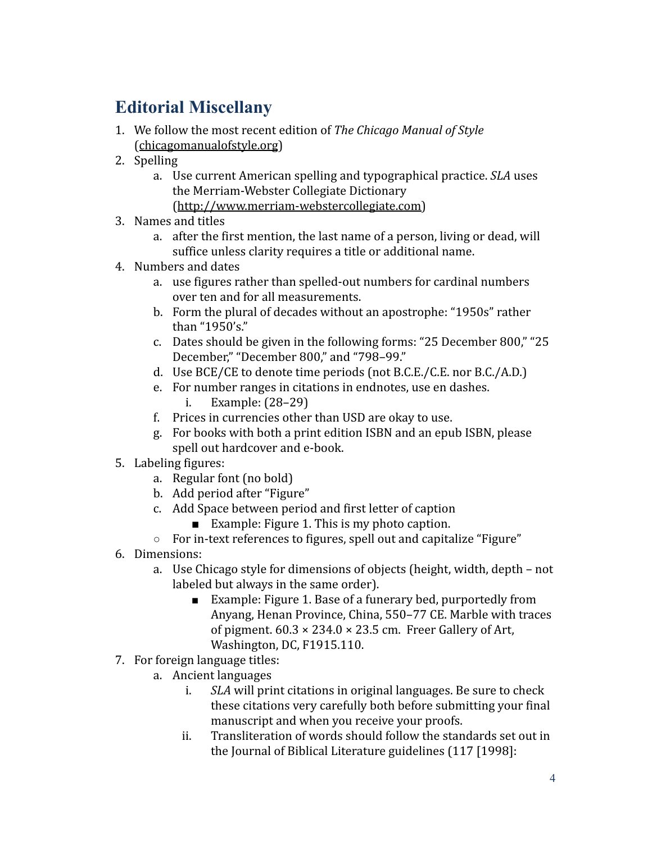### **Editorial Miscellany**

- 1. We follow the most recent edition of *The Chicago Manual of Style* ([chicagomanualofstyle.org](http://chicagomanualofstyle.org/))
- 2. Spelling
	- a. Use current American spelling and typographical practice. *SLA* uses the Merriam-Webster Collegiate Dictionary ([http://www.merriam-webstercollegiate.com\)](http://www.merriam-webstercollegiate.com)
- 3. Names and titles
	- a. after the first mention, the last name of a person, living or dead, will suffice unless clarity requires a title or additional name.
- 4. Numbers and dates
	- a. use figures rather than spelled-out numbers for cardinal numbers over ten and for all measurements.
	- b. Form the plural of decades without an apostrophe: "1950s" rather than "1950's."
	- c. Dates should be given in the following forms: "25 December 800," "25 December," "December 800," and "798–99."
	- d. Use BCE/CE to denote time periods (not B.C.E./C.E. nor B.C./A.D.)
	- e. For number ranges in citations in endnotes, use en dashes. i. Example: (28–29)
	- f. Prices in currencies other than USD are okay to use.
	- g. For books with both a print edition ISBN and an epub ISBN, please spell out hardcover and e-book.
- 5. Labeling figures:
	- a. Regular font (no bold)
	- b. Add period after "Figure"
	- c. Add Space between period and first letter of caption
		- Example: Figure 1. This is my photo caption.
	- For in-text references to figures, spell out and capitalize "Figure"
- 6. Dimensions:
	- a. Use Chicago style for dimensions of objects (height, width, depth not labeled but always in the same order).
		- Example: Figure 1. Base of a funerary bed, purportedly from Anyang, Henan Province, China, 550–77 CE. Marble with traces of pigment.  $60.3 \times 234.0 \times 23.5$  cm. Freer Gallery of Art, Washington, DC, F1915.110.
- 7. For foreign language titles:
	- a. Ancient languages
		- i. *SLA* will print citations in original languages. Be sure to check these citations very carefully both before submitting your final manuscript and when you receive your proofs.
		- ii. Transliteration of words should follow the standards set out in the Journal of Biblical Literature guidelines (117 [1998]: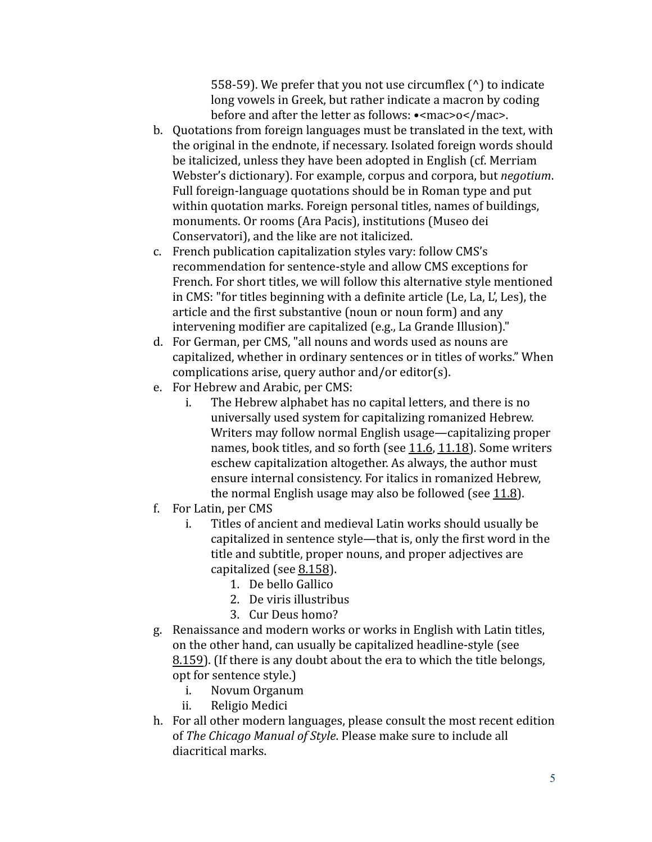558-59). We prefer that you not use circumflex (^) to indicate long vowels in Greek, but rather indicate a macron by coding before and after the letter as follows: •<mac>o</mac>.

- b. Quotations from foreign languages must be translated in the text, with the original in the endnote, if necessary. Isolated foreign words should be italicized, unless they have been adopted in English (cf. Merriam Webster's dictionary). For example, corpus and corpora, but *negotium*. Full foreign-language quotations should be in Roman type and put within quotation marks. Foreign personal titles, names of buildings, monuments. Or rooms (Ara Pacis), institutions (Museo dei Conservatori), and the like are not italicized.
- c. French publication capitalization styles vary: follow CMS's recommendation for sentence-style and allow CMS exceptions for French. For short titles, we will follow this alternative style mentioned in CMS: "for titles beginning with a definite article (Le, La, L', Les), the article and the first substantive (noun or noun form) and any intervening modifier are capitalized (e.g., La Grande Illusion)."
- d. For German, per CMS, "all nouns and words used as nouns are capitalized, whether in ordinary sentences or in titles of works." When complications arise, query author and/or editor(s).
- e. For Hebrew and Arabic, per CMS:
	- i. The Hebrew alphabet has no capital letters, and there is no universally used system for capitalizing romanized Hebrew. Writers may follow normal English usage—capitalizing proper names, book titles, and so forth (see [11.6](https://www.chicagomanualofstyle.org/book/ed17/part2/ch11/psec006.html), [11.18\)](https://www.chicagomanualofstyle.org/book/ed17/part2/ch11/psec018.html). Some writers eschew capitalization altogether. As always, the author must ensure internal consistency. For italics in romanized Hebrew, the normal English usage may also be followed (see [11.8\)](https://www.chicagomanualofstyle.org/book/ed17/part2/ch11/psec008.html).
- f. For Latin, per CMS
	- i. Titles of ancient and medieval Latin works should usually be capitalized in sentence style—that is, only the first word in the title and subtitle, proper nouns, and proper adjectives are capitalized (see [8.158](https://www.chicagomanualofstyle.org/book/ed17/part2/ch08/psec158.html)).
		- 1. De bello Gallico
		- 2. De viris illustribus
		- 3. Cur Deus homo?
- g. Renaissance and modern works or works in English with Latin t[i](https://www.chicagomanualofstyle.org/book/ed17/part2/ch08/psec159.html)tles, on the other hand, can usually be capitalized headline-style (see [8.159](https://www.chicagomanualofstyle.org/book/ed17/part2/ch08/psec159.html)). (If there is any doubt about the era to which the title belongs, opt for sentence style.)
	- i. Novum Organum
	- ii. Religio Medici
- h. For all other modern languages, please consult the most recent edition of *The Chicago Manual of Style*. Please make sure to include all diacritical marks.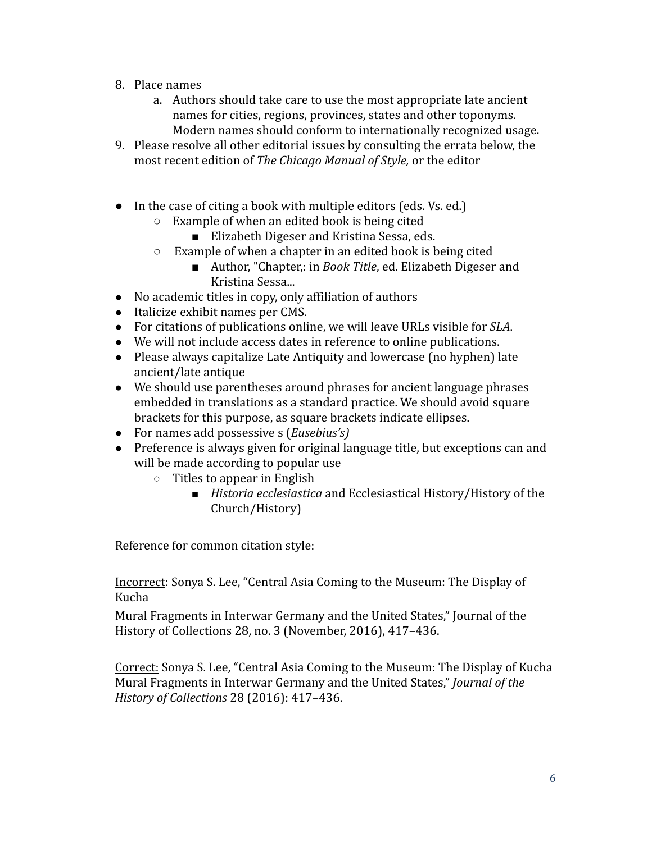- 8. Place names
	- a. Authors should take care to use the most appropriate late ancient names for cities, regions, provinces, states and other toponyms. Modern names should conform to internationally recognized usage.
- 9. Please resolve all other editorial issues by consulting the errata below, the most recent edition of *The Chicago Manual of Style,* or the editor
- In the case of citing a book with multiple editors (eds. Vs. ed.)
	- Example of when an edited book is being cited
		- Elizabeth Digeser and Kristina Sessa, eds.
		- Example of when a chapter in an edited book is being cited
			- Author, "Chapter,: in *Book Title*, ed. Elizabeth Digeser and Kristina Sessa...
- No academic titles in copy, only affiliation of authors
- Italicize exhibit names per CMS.
- For citations of publications online, we will leave URLs visible for *SLA*.
- We will not include access dates in reference to online publications.
- Please always capitalize Late Antiquity and lowercase (no hyphen) late ancient/late antique
- We should use parentheses around phrases for ancient language phrases embedded in translations as a standard practice. We should avoid square brackets for this purpose, as square brackets indicate ellipses.
- For names add possessive s (*Eusebius's)*
- Preference is always given for original language title, but exceptions can and will be made according to popular use
	- Titles to appear in English
		- *Historia ecclesiastica* and Ecclesiastical History/History of the Church/History)

Reference for common citation style:

Incorrect: Sonya S. Lee, "Central Asia Coming to the Museum: The Display of Kucha

Mural Fragments in Interwar Germany and the United States," Journal of the History of Collections 28, no. 3 (November, 2016), 417–436.

Correct: Sonya S. Lee, "Central Asia Coming to the Museum: The Display of Kucha Mural Fragments in Interwar Germany and the United States," *Journal of the History of Collections* 28 (2016): 417–436.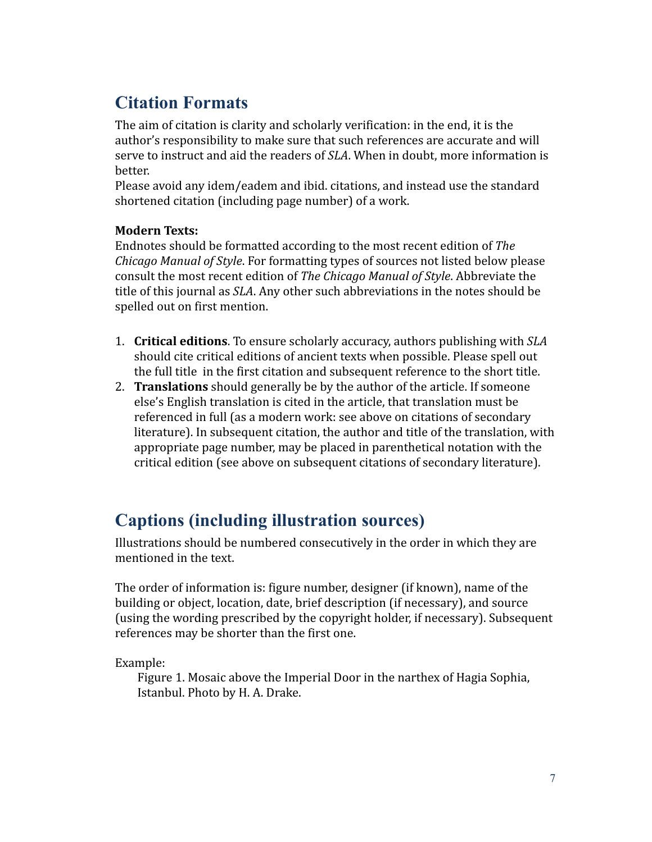### **Citation Formats**

The aim of citation is clarity and scholarly verification: in the end, it is the author's responsibility to make sure that such references are accurate and will serve to instruct and aid the readers of *SLA*. When in doubt, more information is better.

Please avoid any idem/eadem and ibid. citations, and instead use the standard shortened citation (including page number) of a work.

#### **Modern Texts:**

Endnotes should be formatted according to the most recent edition of *The Chicago Manual of Style*. For formatting types of sources not listed below please consult the most recent edition of *The Chicago Manual of Style*. Abbreviate the title of this journal as *SLA*. Any other such abbreviations in the notes should be spelled out on first mention.

- 1. **Critical editions**. To ensure scholarly accuracy, authors publishing with *SLA* should cite critical editions of ancient texts when possible. Please spell out the full title in the first citation and subsequent reference to the short title.
- 2. **Translations** should generally be by the author of the article. If someone else's English translation is cited in the article, that translation must be referenced in full (as a modern work: see above on citations of secondary literature). In subsequent citation, the author and title of the translation, with appropriate page number, may be placed in parenthetical notation with the critical edition (see above on subsequent citations of secondary literature).

### **Captions (including illustration sources)**

Illustrations should be numbered consecutively in the order in which they are mentioned in the text.

The order of information is: figure number, designer (if known), name of the building or object, location, date, brief description (if necessary), and source (using the wording prescribed by the copyright holder, if necessary). Subsequent references may be shorter than the first one.

Example:

Figure 1. Mosaic above the Imperial Door in the narthex of Hagia Sophia, Istanbul. Photo by H. A. Drake.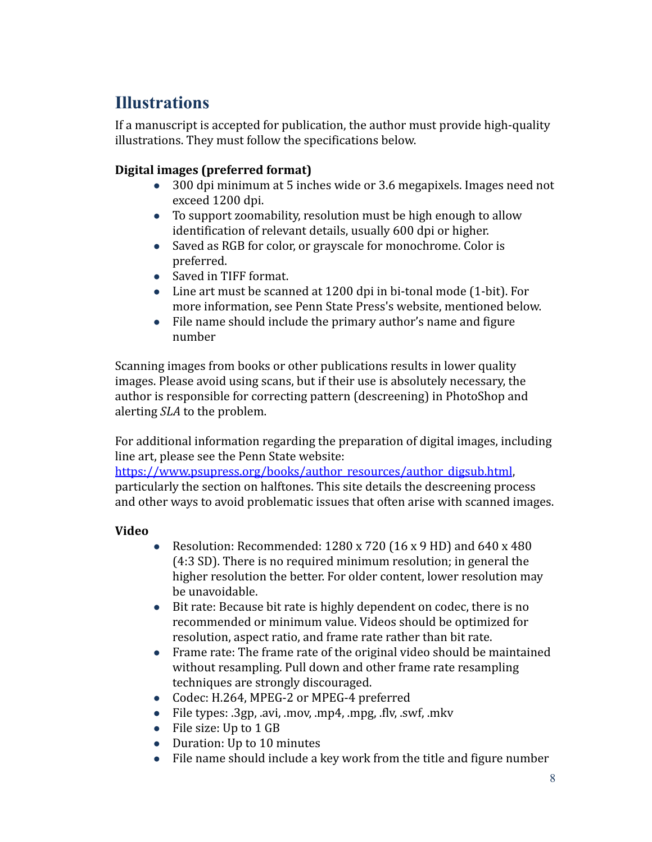### **Illustrations**

If a manuscript is accepted for publication, the author must provide high-quality illustrations. They must follow the specifications below.

#### **Digital images (preferred format)**

- 300 dpi minimum at 5 inches wide or 3.6 megapixels. Images need not exceed 1200 dpi.
- To support zoomability, resolution must be high enough to allow identification of relevant details, usually 600 dpi or higher.
- Saved as RGB for color, or grayscale for monochrome. Color is preferred.
- Saved in TIFF format.
- Line art must be scanned at 1200 dpi in bi-tonal mode (1-bit). For more information, see Penn State Press's website, mentioned below.
- File name should include the primary author's name and figure number

Scanning images from books or other publications results in lower quality images. Please avoid using scans, but if their use is absolutely necessary, the author is responsible for correcting pattern (descreening) in PhotoShop and alerting *SLA* to the problem.

For additional information regarding the preparation of digital images, including line art, please see the Penn State website:

[https://www.psupress.org/books/author\\_resources/author\\_digsub.html](https://www.psupress.org/books/author_resources/author_digsub.html). particularly the section on halftones. This site details the descreening process and other ways to avoid problematic issues that often arise with scanned images.

#### **Video**

- Resolution: Recommended:  $1280 \times 720$  (16  $\times$  9 HD) and 640  $\times$  480 (4:3 SD). There is no required minimum resolution; in general the higher resolution the better. For older content, lower resolution may be unavoidable.
- Bit rate: Because bit rate is highly dependent on codec, there is no recommended or minimum value. Videos should be optimized for resolution, aspect ratio, and frame rate rather than bit rate.
- Frame rate: The frame rate of the original video should be maintained without resampling. Pull down and other frame rate resampling techniques are strongly discouraged.
- Codec: H.264, MPEG-2 or MPEG-4 preferred
- File types: .3gp, .avi, .mov, .mp4, .mpg, .flv, .swf, .mkv
- File size: Up to 1 GB
- Duration: Up to 10 minutes
- File name should include a key work from the title and figure number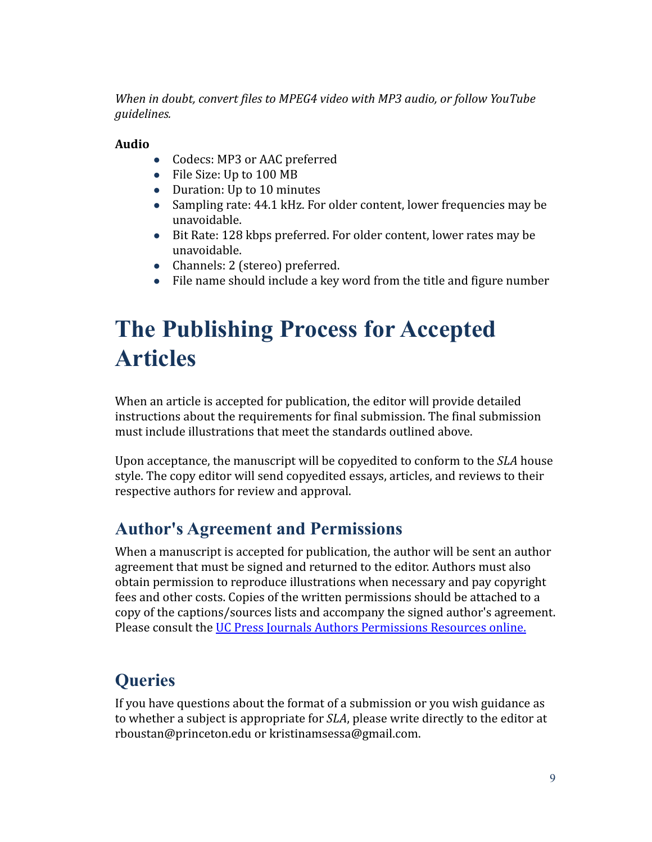*When in doubt, convert files to MPEG4 video with MP3 audio, or follow YouTube guidelines.*

#### **Audio**

- Codecs: MP3 or AAC preferred
- File Size: Up to 100 MB
- Duration: Up to 10 minutes
- Sampling rate: 44.1 kHz. For older content, lower frequencies may be unavoidable.
- Bit Rate: 128 kbps preferred. For older content, lower rates may be unavoidable.
- Channels: 2 (stereo) preferred.
- File name should include a key word from the title and figure number

# **The Publishing Process for Accepted Articles**

When an article is accepted for publication, the editor will provide detailed instructions about the requirements for final submission. The final submission must include illustrations that meet the standards outlined above.

Upon acceptance, the manuscript will be copyedited to conform to the *SLA* house style. The copy editor will send copyedited essays, articles, and reviews to their respective authors for review and approval.

### **Author's Agreement and Permissions**

When a manuscript is accepted for publication, the author will be sent an author agreement that must be signed and returned to the editor. Authors must also obtain permission to reproduce illustrations when necessary and pay copyright fees and other costs. Copies of the written permissions should be attached to a copy of the captions/sources lists and accompany the signed author's agreement. Please consult the [UC Press Journals Authors Permissions](https://sites.google.com/ucpress.edu/authors-permissions-resources/home) Resources online.

### **Queries**

If you have questions about the format of a submission or you wish guidance as to whether a subject is appropriate for *SLA*, please write directly to the editor at [rboustan@princeton.edu](mailto:rboustan@princeton.edu) or [kristinamsessa@gmail.com.](mailto:kristinamsessa@gmail.com)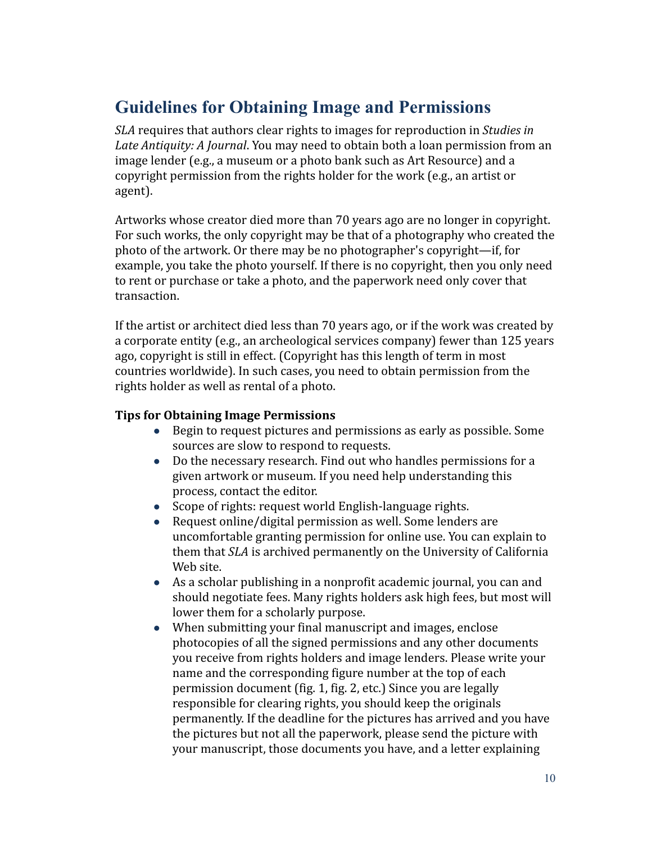### **Guidelines for Obtaining Image and Permissions**

*SLA* requires that authors clear rights to images for reproduction in *Studies in Late Antiquity: A Journal*. You may need to obtain both a loan permission from an image lender (e.g., a museum or a photo bank such as Art Resource) and a copyright permission from the rights holder for the work (e.g., an artist or agent).

Artworks whose creator died more than 70 years ago are no longer in copyright. For such works, the only copyright may be that of a photography who created the photo of the artwork. Or there may be no photographer's copyright—if, for example, you take the photo yourself. If there is no copyright, then you only need to rent or purchase or take a photo, and the paperwork need only cover that transaction.

If the artist or architect died less than 70 years ago, or if the work was created by a corporate entity (e.g., an archeological services company) fewer than 125 years ago, copyright is still in effect. (Copyright has this length of term in most countries worldwide). In such cases, you need to obtain permission from the rights holder as well as rental of a photo.

#### **Tips for Obtaining Image Permissions**

- Begin to request pictures and permissions as early as possible. Some sources are slow to respond to requests.
- Do the necessary research. Find out who handles permissions for a given artwork or museum. If you need help understanding this process, contact the editor.
- Scope of rights: request world English-language rights.
- Request online/digital permission as well. Some lenders are uncomfortable granting permission for online use. You can explain to them that *SLA* is archived permanently on the University of California Web site.
- As a scholar publishing in a nonprofit academic journal, you can and should negotiate fees. Many rights holders ask high fees, but most will lower them for a scholarly purpose.
- When submitting your final manuscript and images, enclose photocopies of all the signed permissions and any other documents you receive from rights holders and image lenders. Please write your name and the corresponding figure number at the top of each permission document (fig. 1, fig. 2, etc.) Since you are legally responsible for clearing rights, you should keep the originals permanently. If the deadline for the pictures has arrived and you have the pictures but not all the paperwork, please send the picture with your manuscript, those documents you have, and a letter explaining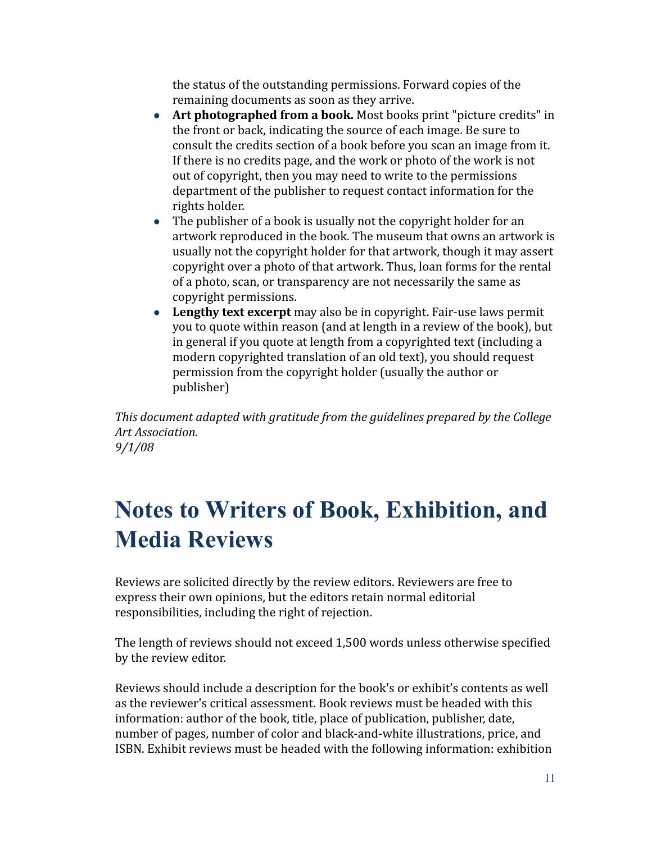the status of the outstanding permissions. Forward copies of the remaining documents as soon as they arrive.

- **Art photographed from a book.** Most books print "picture credits" in the front or back, indicating the source of each image. Be sure to consult the credits section of a book before you scan an image from it. If there is no credits page, and the work or photo of the work is not out of copyright, then you may need to write to the permissions department of the publisher to request contact information for the rights holder.
- The publisher of a book is usually not the copyright holder for an artwork reproduced in the book. The museum that owns an artwork is usually not the copyright holder for that artwork, though it may assert copyright over a photo of that artwork. Thus, loan forms for the rental of a photo, scan, or transparency are not necessarily the same as copyright permissions.
- **Lengthy text excerpt** may also be in copyright. Fair-use laws permit you to quote within reason (and at length in a review of the book), but in general if you quote at length from a copyrighted text (including a modern copyrighted translation of an old text), you should request permission from the copyright holder (usually the author or publisher)

*This document adapted with gratitude from the guidelines prepared by the College Art Association. 9/1/08*

# **Notes to Writers of Book, Exhibition, and Media Reviews**

Reviews are solicited directly by the review editors. Reviewers are free to express their own opinions, but the editors retain normal editorial responsibilities, including the right of rejection.

The length of reviews should not exceed 1,500 words unless otherwise specified by the review editor.

Reviews should include a description for the book's or exhibit's contents as well as the reviewer's critical assessment. Book reviews must be headed with this information: author of the book, title, place of publication, publisher, date, number of pages, number of color and black-and-white illustrations, price, and ISBN. Exhibit reviews must be headed with the following information: exhibition